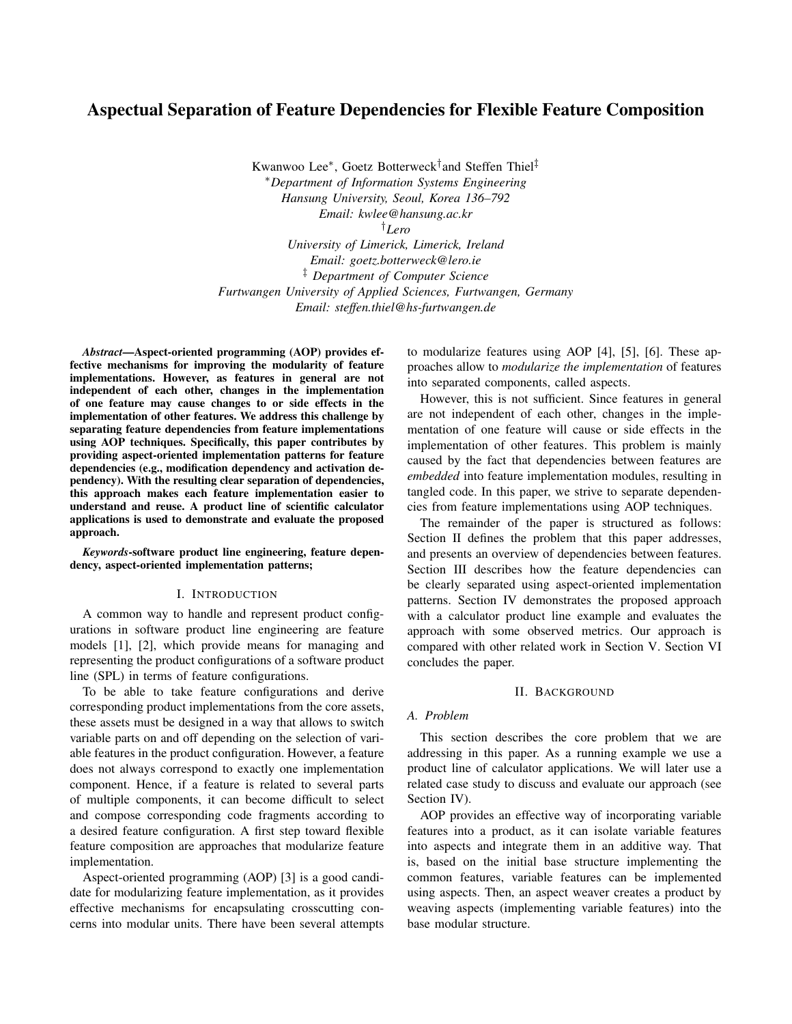# Aspectual Separation of Feature Dependencies for Flexible Feature Composition

Kwanwoo Lee<sup>∗</sup> , Goetz Botterweck† and Steffen Thiel‡ <sup>∗</sup>*Department of Information Systems Engineering Hansung University, Seoul, Korea 136–792 Email: kwlee@hansung.ac.kr* †*Lero University of Limerick, Limerick, Ireland*

*Email: goetz.botterweck@lero.ie* ‡ *Department of Computer Science Furtwangen University of Applied Sciences, Furtwangen, Germany Email: steffen.thiel@hs-furtwangen.de*

*Abstract*—Aspect-oriented programming (AOP) provides effective mechanisms for improving the modularity of feature implementations. However, as features in general are not independent of each other, changes in the implementation of one feature may cause changes to or side effects in the implementation of other features. We address this challenge by separating feature dependencies from feature implementations using AOP techniques. Specifically, this paper contributes by providing aspect-oriented implementation patterns for feature dependencies (e.g., modification dependency and activation dependency). With the resulting clear separation of dependencies, this approach makes each feature implementation easier to understand and reuse. A product line of scientific calculator applications is used to demonstrate and evaluate the proposed approach.

*Keywords*-software product line engineering, feature dependency, aspect-oriented implementation patterns;

## I. INTRODUCTION

A common way to handle and represent product configurations in software product line engineering are feature models [1], [2], which provide means for managing and representing the product configurations of a software product line (SPL) in terms of feature configurations.

To be able to take feature configurations and derive corresponding product implementations from the core assets, these assets must be designed in a way that allows to switch variable parts on and off depending on the selection of variable features in the product configuration. However, a feature does not always correspond to exactly one implementation component. Hence, if a feature is related to several parts of multiple components, it can become difficult to select and compose corresponding code fragments according to a desired feature configuration. A first step toward flexible feature composition are approaches that modularize feature implementation.

Aspect-oriented programming (AOP) [3] is a good candidate for modularizing feature implementation, as it provides effective mechanisms for encapsulating crosscutting concerns into modular units. There have been several attempts to modularize features using AOP [4], [5], [6]. These approaches allow to *modularize the implementation* of features into separated components, called aspects.

However, this is not sufficient. Since features in general are not independent of each other, changes in the implementation of one feature will cause or side effects in the implementation of other features. This problem is mainly caused by the fact that dependencies between features are *embedded* into feature implementation modules, resulting in tangled code. In this paper, we strive to separate dependencies from feature implementations using AOP techniques.

The remainder of the paper is structured as follows: Section II defines the problem that this paper addresses, and presents an overview of dependencies between features. Section III describes how the feature dependencies can be clearly separated using aspect-oriented implementation patterns. Section IV demonstrates the proposed approach with a calculator product line example and evaluates the approach with some observed metrics. Our approach is compared with other related work in Section V. Section VI concludes the paper.

#### II. BACKGROUND

# *A. Problem*

This section describes the core problem that we are addressing in this paper. As a running example we use a product line of calculator applications. We will later use a related case study to discuss and evaluate our approach (see Section IV).

AOP provides an effective way of incorporating variable features into a product, as it can isolate variable features into aspects and integrate them in an additive way. That is, based on the initial base structure implementing the common features, variable features can be implemented using aspects. Then, an aspect weaver creates a product by weaving aspects (implementing variable features) into the base modular structure.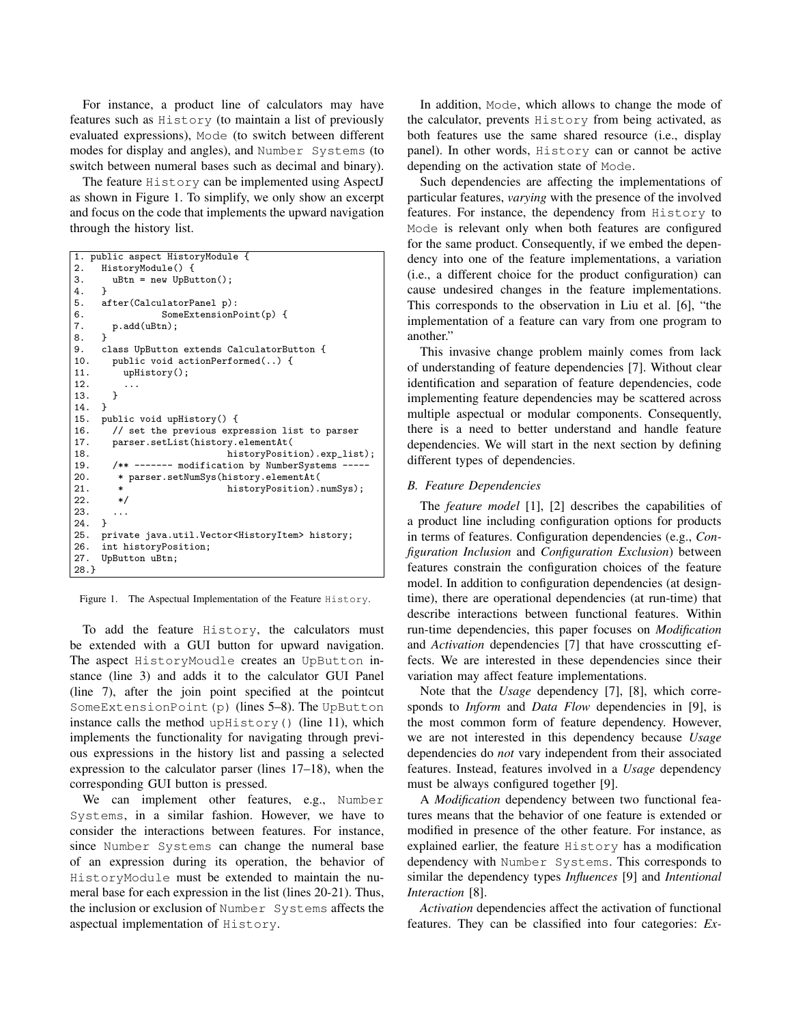For instance, a product line of calculators may have features such as History (to maintain a list of previously evaluated expressions), Mode (to switch between different modes for display and angles), and Number Systems (to switch between numeral bases such as decimal and binary).

The feature History can be implemented using AspectJ as shown in Figure 1. To simplify, we only show an excerpt and focus on the code that implements the upward navigation through the history list.

```
1. public aspect HistoryModule {
2. HistoryModule() {
3. uBtn = new UpButton();4. }
5. after(CalculatorPanel p):
6. SomeExtensionPoint(p) {
7. p.add(uBtn);<br>8. }
8. }
9. class UpButton extends CalculatorButton {
10. public void actionPerformed(..) {
11. upHistory();
12. \cdots<br>13. }
13. }
14. }
15. public void upHistory() {<br>16. // set the previous exp:
        // set the previous expression list to parser
17. parser.setList(history.elementAt(<br>18. historyPosit
18. historyPosition).exp_list);<br>19. /** ------ modification by NumberSystems ----
19. /** ------- modification by NumberSystems ---<br>20. * parser.setNumSys(history.elementAt(
20. * parser.setNumSys(history.elementAt(<br>21. * historyPosition).
                                 historyPosition).numSys);
22. *23.
24. }
25. private java.util.Vector<HistoryItem> history;
26. int historyPosition;
27. UpButton uBtn;
28.}
```
Figure 1. The Aspectual Implementation of the Feature History.

To add the feature History, the calculators must be extended with a GUI button for upward navigation. The aspect HistoryMoudle creates an UpButton instance (line 3) and adds it to the calculator GUI Panel (line 7), after the join point specified at the pointcut SomeExtensionPoint(p) (lines 5–8). The UpButton instance calls the method upHistory() (line 11), which implements the functionality for navigating through previous expressions in the history list and passing a selected expression to the calculator parser (lines 17–18), when the corresponding GUI button is pressed.

We can implement other features, e.g., Number Systems, in a similar fashion. However, we have to consider the interactions between features. For instance, since Number Systems can change the numeral base of an expression during its operation, the behavior of HistoryModule must be extended to maintain the numeral base for each expression in the list (lines 20-21). Thus, the inclusion or exclusion of Number Systems affects the aspectual implementation of History.

In addition, Mode, which allows to change the mode of the calculator, prevents History from being activated, as both features use the same shared resource (i.e., display panel). In other words, History can or cannot be active depending on the activation state of Mode.

Such dependencies are affecting the implementations of particular features, *varying* with the presence of the involved features. For instance, the dependency from History to Mode is relevant only when both features are configured for the same product. Consequently, if we embed the dependency into one of the feature implementations, a variation (i.e., a different choice for the product configuration) can cause undesired changes in the feature implementations. This corresponds to the observation in Liu et al. [6], "the implementation of a feature can vary from one program to another."

This invasive change problem mainly comes from lack of understanding of feature dependencies [7]. Without clear identification and separation of feature dependencies, code implementing feature dependencies may be scattered across multiple aspectual or modular components. Consequently, there is a need to better understand and handle feature dependencies. We will start in the next section by defining different types of dependencies.

## *B. Feature Dependencies*

The *feature model* [1], [2] describes the capabilities of a product line including configuration options for products in terms of features. Configuration dependencies (e.g., *Configuration Inclusion* and *Configuration Exclusion*) between features constrain the configuration choices of the feature model. In addition to configuration dependencies (at designtime), there are operational dependencies (at run-time) that describe interactions between functional features. Within run-time dependencies, this paper focuses on *Modification* and *Activation* dependencies [7] that have crosscutting effects. We are interested in these dependencies since their variation may affect feature implementations.

Note that the *Usage* dependency [7], [8], which corresponds to *Inform* and *Data Flow* dependencies in [9], is the most common form of feature dependency. However, we are not interested in this dependency because *Usage* dependencies do *not* vary independent from their associated features. Instead, features involved in a *Usage* dependency must be always configured together [9].

A *Modification* dependency between two functional features means that the behavior of one feature is extended or modified in presence of the other feature. For instance, as explained earlier, the feature History has a modification dependency with Number Systems. This corresponds to similar the dependency types *Influences* [9] and *Intentional Interaction* [8].

*Activation* dependencies affect the activation of functional features. They can be classified into four categories: *Ex-*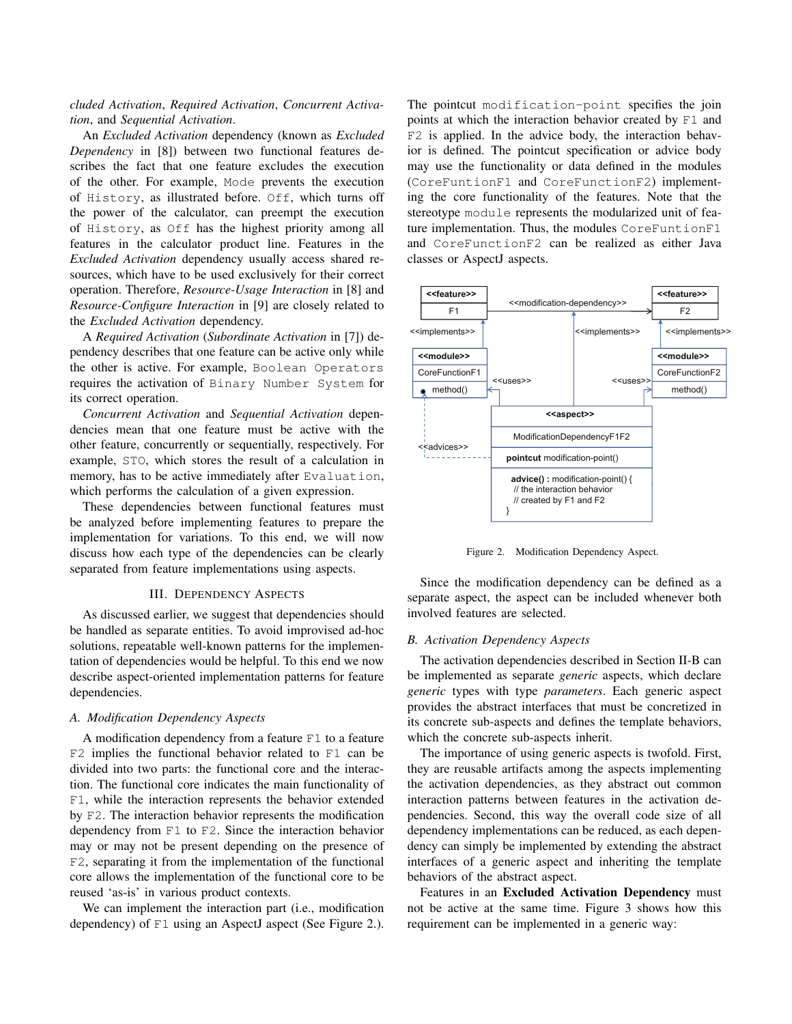*cluded Activation*, *Required Activation*, *Concurrent Activation*, and *Sequential Activation*.

An *Excluded Activation* dependency (known as *Excluded Dependency* in [8]) between two functional features describes the fact that one feature excludes the execution of the other. For example, Mode prevents the execution of History, as illustrated before. Off, which turns off the power of the calculator, can preempt the execution of History, as Off has the highest priority among all features in the calculator product line. Features in the *Excluded Activation* dependency usually access shared resources, which have to be used exclusively for their correct operation. Therefore, *Resource-Usage Interaction* in [8] and *Resource-Configure Interaction* in [9] are closely related to the *Excluded Activation* dependency.

A *Required Activation* (*Subordinate Activation* in [7]) dependency describes that one feature can be active only while the other is active. For example, Boolean Operators requires the activation of Binary Number System for its correct operation.

*Concurrent Activation* and *Sequential Activation* dependencies mean that one feature must be active with the other feature, concurrently or sequentially, respectively. For example, STO, which stores the result of a calculation in memory, has to be active immediately after Evaluation, which performs the calculation of a given expression.

These dependencies between functional features must be analyzed before implementing features to prepare the implementation for variations. To this end, we will now discuss how each type of the dependencies can be clearly separated from feature implementations using aspects.

#### III. DEPENDENCY ASPECTS

As discussed earlier, we suggest that dependencies should be handled as separate entities. To avoid improvised ad-hoc solutions, repeatable well-known patterns for the implementation of dependencies would be helpful. To this end we now describe aspect-oriented implementation patterns for feature dependencies.

## *A. Modification Dependency Aspects*

A modification dependency from a feature F1 to a feature F2 implies the functional behavior related to F1 can be divided into two parts: the functional core and the interaction. The functional core indicates the main functionality of F1, while the interaction represents the behavior extended by F2. The interaction behavior represents the modification dependency from F1 to F2. Since the interaction behavior may or may not be present depending on the presence of F2, separating it from the implementation of the functional core allows the implementation of the functional core to be reused 'as-is' in various product contexts.

We can implement the interaction part (i.e., modification dependency) of F1 using an AspectJ aspect (See Figure 2.). The pointcut modification-point specifies the join points at which the interaction behavior created by F1 and F2 is applied. In the advice body, the interaction behavior is defined. The pointcut specification or advice body may use the functionality or data defined in the modules (CoreFuntionF1 and CoreFunctionF2) implementing the core functionality of the features. Note that the stereotype module represents the modularized unit of feature implementation. Thus, the modules CoreFuntionF1 and CoreFunctionF2 can be realized as either Java classes or AspectJ aspects.



Figure 2. Modification Dependency Aspect.

Since the modification dependency can be defined as a separate aspect, the aspect can be included whenever both involved features are selected.

## *B. Activation Dependency Aspects*

The activation dependencies described in Section II-B can be implemented as separate *generic* aspects, which declare *generic* types with type *parameters*. Each generic aspect provides the abstract interfaces that must be concretized in its concrete sub-aspects and defines the template behaviors, which the concrete sub-aspects inherit.

The importance of using generic aspects is twofold. First, they are reusable artifacts among the aspects implementing the activation dependencies, as they abstract out common interaction patterns between features in the activation dependencies. Second, this way the overall code size of all dependency implementations can be reduced, as each dependency can simply be implemented by extending the abstract interfaces of a generic aspect and inheriting the template behaviors of the abstract aspect.

Features in an Excluded Activation Dependency must not be active at the same time. Figure 3 shows how this requirement can be implemented in a generic way: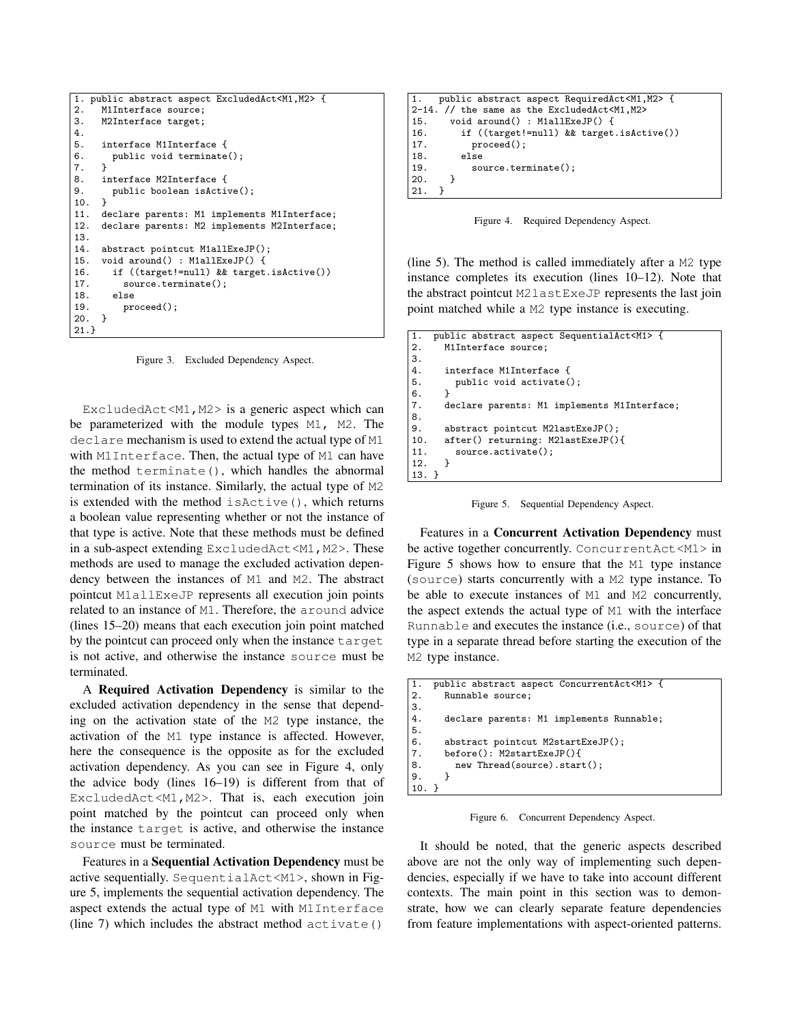```
1. public abstract aspect ExcludedAct<M1,M2> {
2. M1Interface source;
3. M2Interface target;
4.
5. interface M1Interface {
6. public void terminate();
7.8.
8. interface M2Interface {<br>9. public boolean isActi
      public boolean isActive();
\frac{10}{11}.
11. declare parents: M1 implements M1Interface;<br>12. declare parents: M2 implements M2Interface;
      declare parents: M2 implements M2Interface;
13.<br>14.
      abstract pointcut M1allExeJP();
15. void around() : M1allExeJP() {<br>16. if ((target!=null) && target
16. if ((target!=null) && target.isActive())<br>17. source.terminate();
17. source.terminate();<br>18. else
         else
19. proceed();
20. }
21.}
```
Figure 3. Excluded Dependency Aspect.

Excluded $Act < M1$ ,  $M2 >$  is a generic aspect which can be parameterized with the module types M1, M2. The declare mechanism is used to extend the actual type of M1 with M1Interface. Then, the actual type of M1 can have the method terminate(), which handles the abnormal termination of its instance. Similarly, the actual type of M2 is extended with the method isActive(), which returns a boolean value representing whether or not the instance of that type is active. Note that these methods must be defined in a sub-aspect extending ExcludedAct<M1, M2>. These methods are used to manage the excluded activation dependency between the instances of M1 and M2. The abstract pointcut M1allExeJP represents all execution join points related to an instance of M1. Therefore, the around advice (lines 15–20) means that each execution join point matched by the pointcut can proceed only when the instance target is not active, and otherwise the instance source must be terminated.

A Required Activation Dependency is similar to the excluded activation dependency in the sense that depending on the activation state of the M2 type instance, the activation of the M1 type instance is affected. However, here the consequence is the opposite as for the excluded activation dependency. As you can see in Figure 4, only the advice body (lines 16–19) is different from that of ExcludedAct<M1,M2>. That is, each execution join point matched by the pointcut can proceed only when the instance target is active, and otherwise the instance source must be terminated.

Features in a Sequential Activation Dependency must be active sequentially. SequentialAct<M1>, shown in Figure 5, implements the sequential activation dependency. The aspect extends the actual type of M1 with M1Interface (line 7) which includes the abstract method activate()

```
1. public abstract aspect RequiredAct<M1,M2> {
2-14. // the same as the ExcludedAct<M1,M2>
15. void around() : M1allExeJP() {<br>16. if ((target!=null) && target
          if ((target!=null) && target.isActive())
17. proceed();<br>18. else
          else
19. source.terminate();
20. }
21. }
```
Figure 4. Required Dependency Aspect.

(line 5). The method is called immediately after a M2 type instance completes its execution (lines 10–12). Note that the abstract pointcut M2lastExeJP represents the last join point matched while a M2 type instance is executing.

```
1. public abstract aspect SequentialAct<M1> {<br>
2. M1Interface source:
        M1Interface source:
3.4.4. interface M1Interface {<br>5. public void activate(
          public void activate();
rac{6}{7}.
        declare parents: M1 implements M1Interface;
8.
9. abstract pointcut M2lastExeJP();<br>10. after() returning: M2lastExeJP()
        10. after() returning: M2lastExeJP(){
11. source.activate();
12. }
13. }
```
Figure 5. Sequential Dependency Aspect.

Features in a Concurrent Activation Dependency must be active together concurrently. ConcurrentAct<M1> in Figure 5 shows how to ensure that the M1 type instance (source) starts concurrently with a M2 type instance. To be able to execute instances of M1 and M2 concurrently, the aspect extends the actual type of M1 with the interface Runnable and executes the instance (i.e., source) of that type in a separate thread before starting the execution of the M2 type instance.

```
1. public abstract aspect ConcurrentAct<M1> {<br>2. Runnable source:
      Runnable source;
3.4.declare parents: M1 implements Runnable;
\frac{5}{6}.
      abstract pointcut M2startExeJP();
7. before(): M2startExeJP(){
8. new Thread(source).start();
9. }
10. }
```
Figure 6. Concurrent Dependency Aspect.

It should be noted, that the generic aspects described above are not the only way of implementing such dependencies, especially if we have to take into account different contexts. The main point in this section was to demonstrate, how we can clearly separate feature dependencies from feature implementations with aspect-oriented patterns.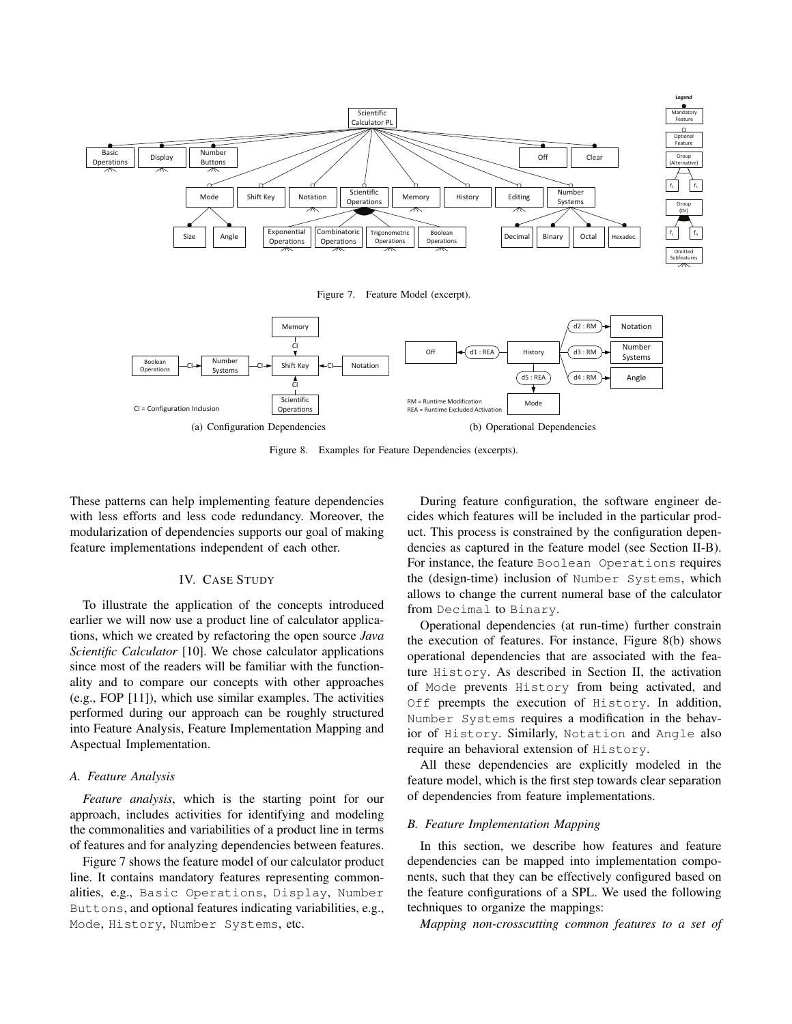



Figure 8. Examples for Feature Dependencies (excerpts).

These patterns can help implementing feature dependencies with less efforts and less code redundancy. Moreover, the modularization of dependencies supports our goal of making feature implementations independent of each other.

## IV. CASE STUDY

To illustrate the application of the concepts introduced earlier we will now use a product line of calculator applications, which we created by refactoring the open source *Java Scientific Calculator* [10]. We chose calculator applications since most of the readers will be familiar with the functionality and to compare our concepts with other approaches (e.g., FOP [11]), which use similar examples. The activities performed during our approach can be roughly structured into Feature Analysis, Feature Implementation Mapping and Aspectual Implementation.

#### *A. Feature Analysis*

*Feature analysis*, which is the starting point for our approach, includes activities for identifying and modeling the commonalities and variabilities of a product line in terms of features and for analyzing dependencies between features.

Figure 7 shows the feature model of our calculator product line. It contains mandatory features representing commonalities, e.g., Basic Operations, Display, Number Buttons, and optional features indicating variabilities, e.g., Mode, History, Number Systems, etc.

During feature configuration, the software engineer decides which features will be included in the particular product. This process is constrained by the configuration dependencies as captured in the feature model (see Section II-B). For instance, the feature Boolean Operations requires the (design-time) inclusion of Number Systems, which allows to change the current numeral base of the calculator from Decimal to Binary.

Operational dependencies (at run-time) further constrain the execution of features. For instance, Figure 8(b) shows operational dependencies that are associated with the feature History. As described in Section II, the activation of Mode prevents History from being activated, and Off preempts the execution of History. In addition, Number Systems requires a modification in the behavior of History. Similarly, Notation and Angle also require an behavioral extension of History.

All these dependencies are explicitly modeled in the feature model, which is the first step towards clear separation of dependencies from feature implementations.

## *B. Feature Implementation Mapping*

In this section, we describe how features and feature dependencies can be mapped into implementation components, such that they can be effectively configured based on the feature configurations of a SPL. We used the following techniques to organize the mappings:

*Mapping non-crosscutting common features to a set of*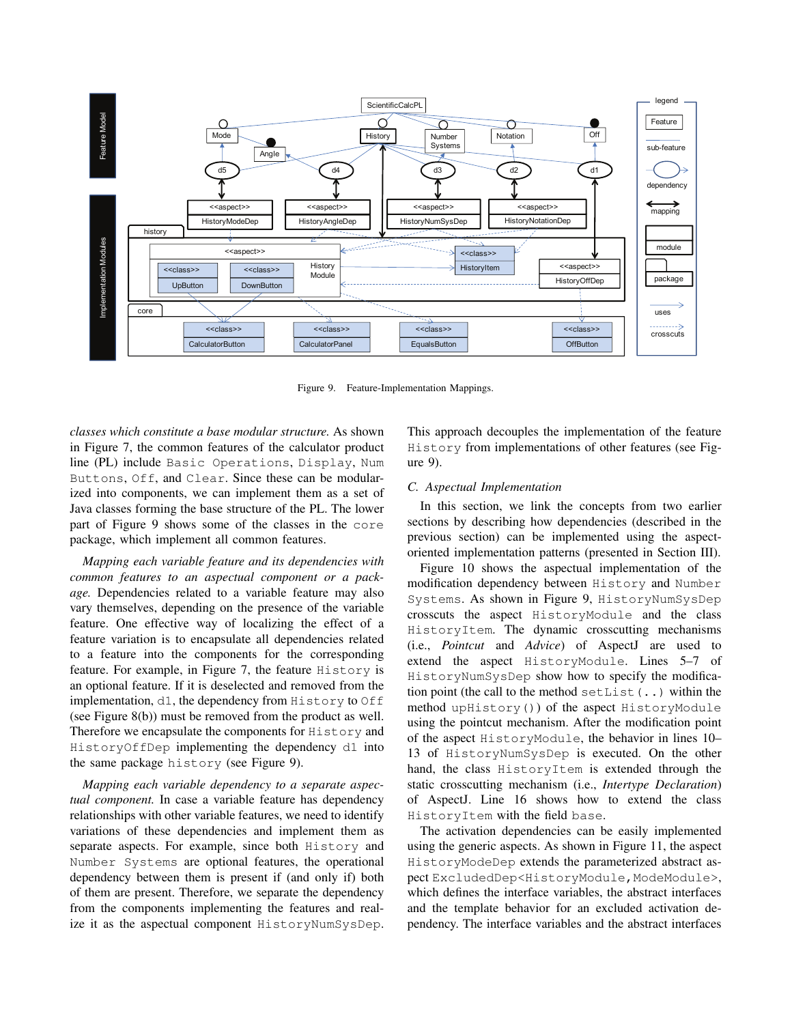

Figure 9. Feature-Implementation Mappings.

*classes which constitute a base modular structure.* As shown in Figure 7, the common features of the calculator product line (PL) include Basic Operations, Display, Num Buttons, Off, and Clear. Since these can be modularized into components, we can implement them as a set of Java classes forming the base structure of the PL. The lower part of Figure 9 shows some of the classes in the core package, which implement all common features.

*Mapping each variable feature and its dependencies with common features to an aspectual component or a package.* Dependencies related to a variable feature may also vary themselves, depending on the presence of the variable feature. One effective way of localizing the effect of a feature variation is to encapsulate all dependencies related to a feature into the components for the corresponding feature. For example, in Figure 7, the feature History is an optional feature. If it is deselected and removed from the implementation, d1, the dependency from History to Off (see Figure 8(b)) must be removed from the product as well. Therefore we encapsulate the components for History and HistoryOffDep implementing the dependency d1 into the same package history (see Figure 9).

*Mapping each variable dependency to a separate aspectual component.* In case a variable feature has dependency relationships with other variable features, we need to identify variations of these dependencies and implement them as separate aspects. For example, since both History and Number Systems are optional features, the operational dependency between them is present if (and only if) both of them are present. Therefore, we separate the dependency from the components implementing the features and realize it as the aspectual component HistoryNumSysDep. This approach decouples the implementation of the feature History from implementations of other features (see Figure 9).

## *C. Aspectual Implementation*

In this section, we link the concepts from two earlier sections by describing how dependencies (described in the previous section) can be implemented using the aspectoriented implementation patterns (presented in Section III).

Figure 10 shows the aspectual implementation of the modification dependency between History and Number Systems. As shown in Figure 9, HistoryNumSysDep crosscuts the aspect HistoryModule and the class HistoryItem. The dynamic crosscutting mechanisms (i.e., *Pointcut* and *Advice*) of AspectJ are used to extend the aspect HistoryModule. Lines 5–7 of HistoryNumSysDep show how to specify the modification point (the call to the method setList  $(\cdot, \cdot)$  within the method upHistory()) of the aspect HistoryModule using the pointcut mechanism. After the modification point of the aspect HistoryModule, the behavior in lines 10– 13 of HistoryNumSysDep is executed. On the other hand, the class HistoryItem is extended through the static crosscutting mechanism (i.e., *Intertype Declaration*) of AspectJ. Line 16 shows how to extend the class HistoryItem with the field base.

The activation dependencies can be easily implemented using the generic aspects. As shown in Figure 11, the aspect HistoryModeDep extends the parameterized abstract aspect ExcludedDep<HistoryModule, ModeModule>, which defines the interface variables, the abstract interfaces and the template behavior for an excluded activation dependency. The interface variables and the abstract interfaces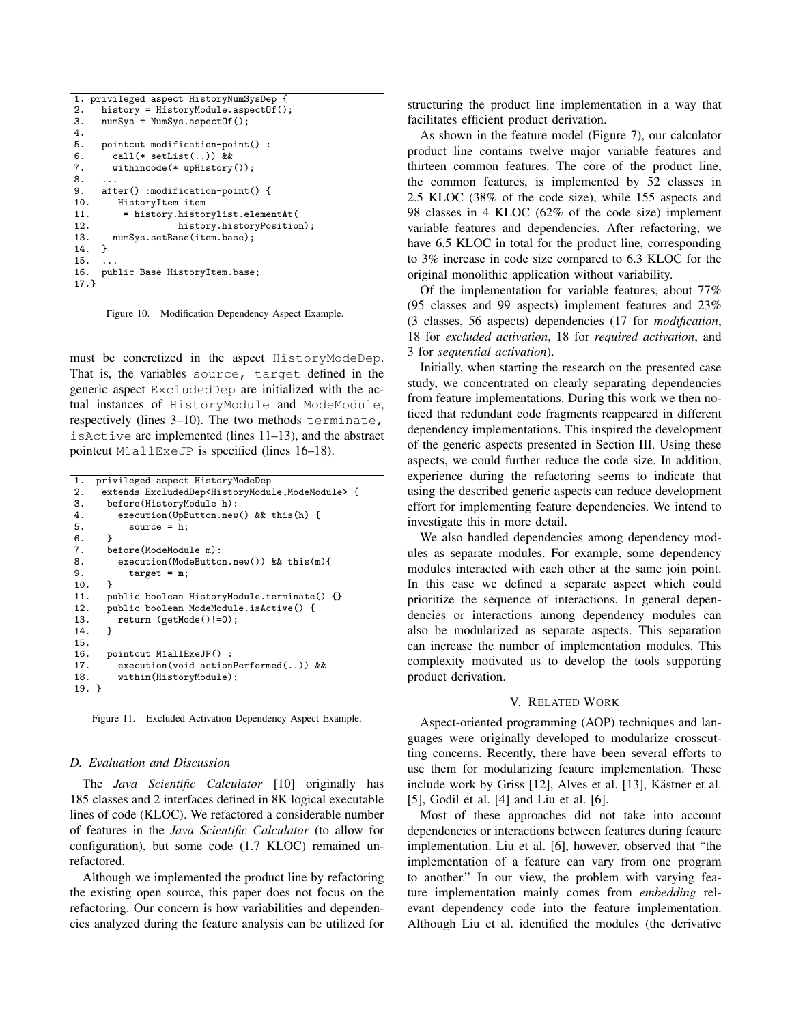```
1. privileged aspect HistoryNumSysDep {
2. history = HistoryModule.aspectOf();
3. numSys = NumSys.aspectOf();
4.
5. pointcut modification-point() :
6. call(* setList(..)) &&
7. withincode(* upHistory());
8.<br>9.
     after() :modification-point() {
10. HistoryItem item<br>11. = history.histo
11. = history.historylist.elementAt(<br>12. history.historyPositio
                    history.historyPosition);
13. numSys.setBase(item.base);
14. }
15. .
16. public Base HistoryItem.base;
17.}
```
Figure 10. Modification Dependency Aspect Example.

must be concretized in the aspect HistoryModeDep. That is, the variables source, target defined in the generic aspect ExcludedDep are initialized with the actual instances of HistoryModule and ModeModule, respectively (lines 3–10). The two methods terminate, isActive are implemented (lines 11–13), and the abstract pointcut M1allExeJP is specified (lines 16–18).

```
1. privileged aspect HistoryModeDep
2. extends ExcludedDep<HistoryModule,ModeModule> {
3. before(HistoryModule h):<br>4. execution(UpButton.new
4. execution(UpButton.new() && this(h) {<br>5. source = h;
             source = \mathbf{h};
rac{6}{7}.
7. before(ModeModule m):<br>8 execution(ModeButto
8. execution(ModeButton.new()) && this(m){<br>9. target = m;
       target = m;
10.11.11. public boolean HistoryModule.terminate() {}<br>12. public boolean ModeModule.isActive() {
       12. public boolean ModeModule.isActive() {
13. return (getMode() != 0);<br>14. }
14. }
15.
16. pointcut M1allExeJP() :
17. execution(void actionPerformed(..)) &&
18. within(HistoryModule);
19. }
```
Figure 11. Excluded Activation Dependency Aspect Example.

#### *D. Evaluation and Discussion*

The *Java Scientific Calculator* [10] originally has 185 classes and 2 interfaces defined in 8K logical executable lines of code (KLOC). We refactored a considerable number of features in the *Java Scientific Calculator* (to allow for configuration), but some code (1.7 KLOC) remained unrefactored.

Although we implemented the product line by refactoring the existing open source, this paper does not focus on the refactoring. Our concern is how variabilities and dependencies analyzed during the feature analysis can be utilized for structuring the product line implementation in a way that facilitates efficient product derivation.

As shown in the feature model (Figure 7), our calculator product line contains twelve major variable features and thirteen common features. The core of the product line, the common features, is implemented by 52 classes in 2.5 KLOC (38% of the code size), while 155 aspects and 98 classes in 4 KLOC (62% of the code size) implement variable features and dependencies. After refactoring, we have 6.5 KLOC in total for the product line, corresponding to 3% increase in code size compared to 6.3 KLOC for the original monolithic application without variability.

Of the implementation for variable features, about 77% (95 classes and 99 aspects) implement features and 23% (3 classes, 56 aspects) dependencies (17 for *modification*, 18 for *excluded activation*, 18 for *required activation*, and 3 for *sequential activation*).

Initially, when starting the research on the presented case study, we concentrated on clearly separating dependencies from feature implementations. During this work we then noticed that redundant code fragments reappeared in different dependency implementations. This inspired the development of the generic aspects presented in Section III. Using these aspects, we could further reduce the code size. In addition, experience during the refactoring seems to indicate that using the described generic aspects can reduce development effort for implementing feature dependencies. We intend to investigate this in more detail.

We also handled dependencies among dependency modules as separate modules. For example, some dependency modules interacted with each other at the same join point. In this case we defined a separate aspect which could prioritize the sequence of interactions. In general dependencies or interactions among dependency modules can also be modularized as separate aspects. This separation can increase the number of implementation modules. This complexity motivated us to develop the tools supporting product derivation.

#### V. RELATED WORK

Aspect-oriented programming (AOP) techniques and languages were originally developed to modularize crosscutting concerns. Recently, there have been several efforts to use them for modularizing feature implementation. These include work by Griss [12], Alves et al. [13], Kästner et al. [5], Godil et al. [4] and Liu et al. [6].

Most of these approaches did not take into account dependencies or interactions between features during feature implementation. Liu et al. [6], however, observed that "the implementation of a feature can vary from one program to another." In our view, the problem with varying feature implementation mainly comes from *embedding* relevant dependency code into the feature implementation. Although Liu et al. identified the modules (the derivative